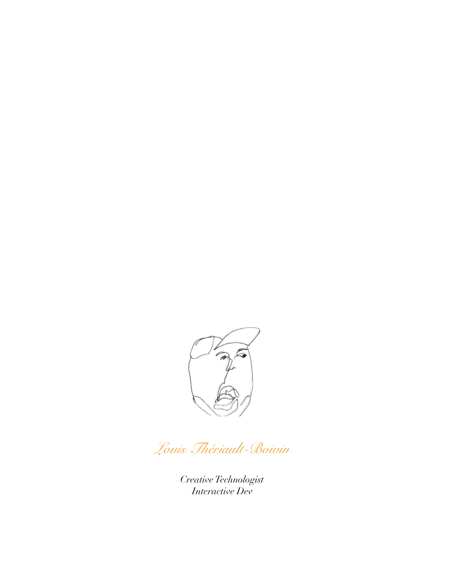

*Louis Thériault-Boivin*

*Creative Technologist Interactive Dev*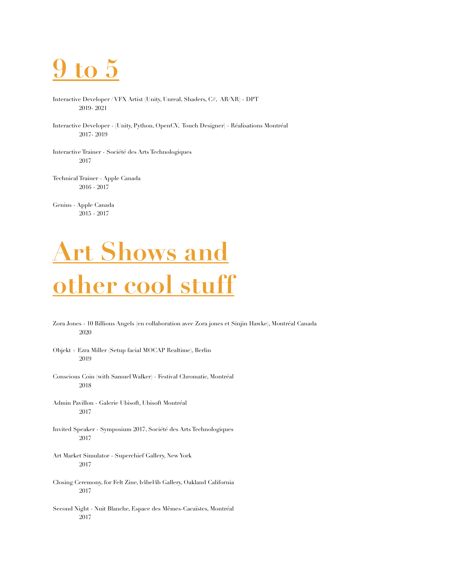

- Interactive Developer / VFX Artist (Unity, Unreal, Shaders, C#, AR/XR) DPT 2019- 2021
- Interactive Developer (Unity, Python, OpenCV, Touch Designer) Réalisations Montréal 2017- 2019
- Interactive Trainer Société des Arts Technologiques 2017
- Technical Trainer Apple Canada 2016 - 2017

Genius - Apple Canada 2015 - 2017

### **Art Shows and other cool stuff**

- Zora Jones 10 Billions Angels (en collaboration avec Zora jones et Sinjin Hawke), Montréal Canada 2020
- Objekt + Ezra Miller (Setup facial MOCAP Realtime), Berlin 2019
- Conscious Coin (with Samuel Walker) Festival Chromatic, Montréal 2018
- Admin Pavillon Galerie Ubisoft, Ubisoft Montréal 2017
- Invited Speaker Symposium 2017, Société des Arts Technologiques 2017
- Art Market Simulator Superchief Gallery, New York 2017
- Closing Ceremony, for Felt Zine, b4bel4b Gallery, Oakland California 2017
- Second Night Nuit Blanche, Espace des Mêmes-Cacaïstes, Montréal 2017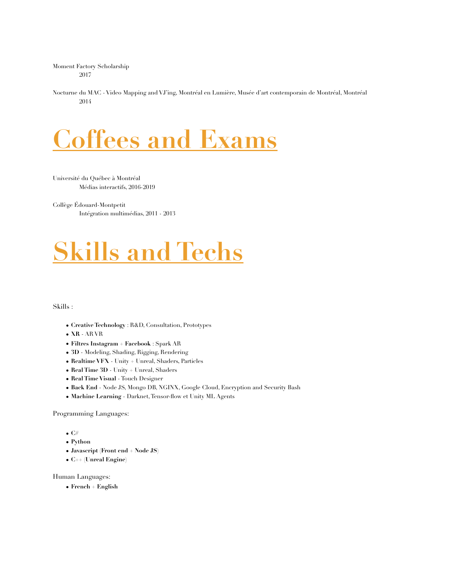Moment Factory Scholarship 2017

Nocturne du MAC - Video Mapping and VJ'ing, Montréal en Lumière, Musée d'art contemporain de Montréal, Montréal 2014

#### **Coffees and Exams**

Université du Québec à Montréal Médias interactifs, 2016-2019

Collège Édouard-Montpetit Intégration multimédias, 2011 - 2013

## **Skills and Techs**

#### Skills :

- **Creative Technology** : R&D, Consultation, Prototypes
- **XR**  AR VR
- **Filtres Instagram + Facebook** : Spark AR
- **3D**  Modeling, Shading, Rigging, Rendering
- **Realtime VFX** Unity + Unreal, Shaders, Particles
- **Real Time 3D** Unity + Unreal, Shaders
- **Real Time Visual**  Touch Designer
- **Back End**  Node JS, Mongo DB, NGINX, Google Cloud, Encryption and Security Bash
- **Machine Learning**  Darknet, Tensor-flow et Unity ML Agents

Programming Languages:

- **• C#**
- **• Python**
- **• Javascript (Front end + Node JS)**
- **• C++ (Unreal Engine)**

Human Languages:

**• French + English**